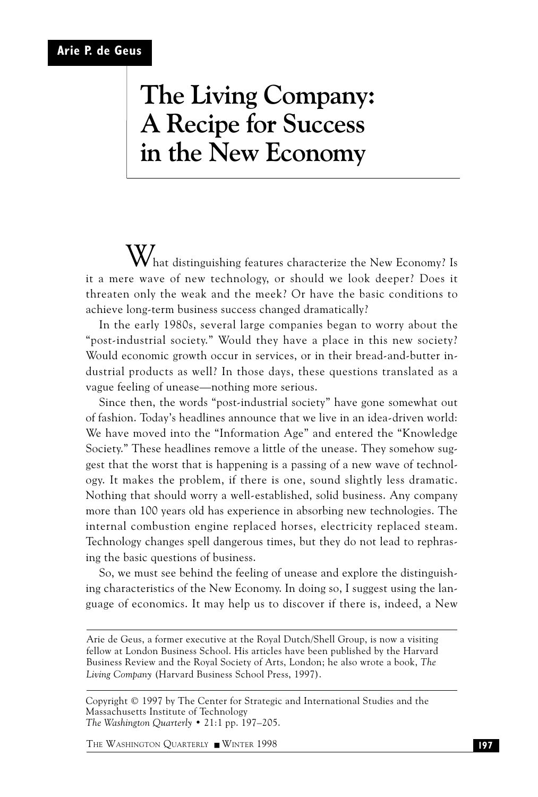## **The Living Company: A Recipe for Success in the New Economy**

What distinguishing features characterize the New Economy? Is it a mere wave of new technology, or should we look deeper? Does it threaten only the weak and the meek? Or have the basic conditions to achieve long-term business success changed dramatically?

In the early 1980s, several large companies began to worry about the "post-industrial society." Would they have a place in this new society? Would economic growth occur in services, or in their bread-and-butter industrial products as well? In those days, these questions translated as a vague feeling of unease—nothing more serious.

Since then, the words "post-industrial society" have gone somewhat out of fashion. Today's headlines announce that we live in an idea-driven world: We have moved into the "Information Age" and entered the "Knowledge Society." These headlines remove a little of the unease. They somehow suggest that the worst that is happening is a passing of a new wave of technology. It makes the problem, if there is one, sound slightly less dramatic. Nothing that should worry a well-established, solid business. Any company more than 100 years old has experience in absorbing new technologies. The internal combustion engine replaced horses, electricity replaced steam. Technology changes spell dangerous times, but they do not lead to rephrasing the basic questions of business.

So, we must see behind the feeling of unease and explore the distinguishing characteristics of the New Economy. In doing so, I suggest using the language of economics. It may help us to discover if there is, indeed, a New

Arie de Geus, a former executive at the Royal Dutch/Shell Group, is now a visiting fellow at London Business School. His articles have been published by the Harvard Business Review and the Royal Society of Arts, London; he also wrote a book, *The Living Company* (Harvard Business School Press, 1997).

Copyright © 1997 by The Center for Strategic and International Studies and the Massachusetts Institute of Technology *The Washington Quarterly* • 21:1 pp. 197–205.

THE WASHINGTON QUARTERLY ■ WINTER 1998 **197**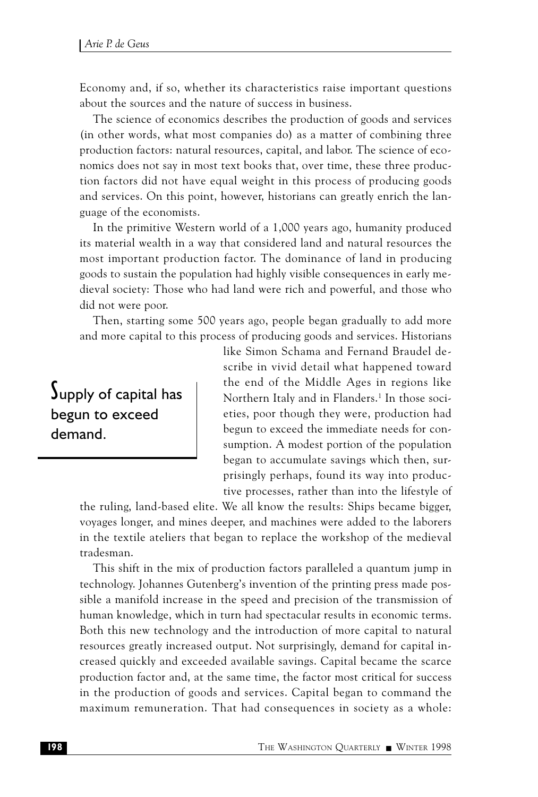Economy and, if so, whether its characteristics raise important questions about the sources and the nature of success in business.

The science of economics describes the production of goods and services (in other words, what most companies do) as a matter of combining three production factors: natural resources, capital, and labor. The science of economics does not say in most text books that, over time, these three production factors did not have equal weight in this process of producing goods and services. On this point, however, historians can greatly enrich the language of the economists.

In the primitive Western world of a 1,000 years ago, humanity produced its material wealth in a way that considered land and natural resources the most important production factor. The dominance of land in producing goods to sustain the population had highly visible consequences in early medieval society: Those who had land were rich and powerful, and those who did not were poor.

Then, starting some 500 years ago, people began gradually to add more and more capital to this process of producing goods and services. Historians

Supply of capital has begun to exceed demand.

like Simon Schama and Fernand Braudel describe in vivid detail what happened toward the end of the Middle Ages in regions like Northern Italy and in Flanders.<sup>1</sup> In those societies, poor though they were, production had begun to exceed the immediate needs for consumption. A modest portion of the population began to accumulate savings which then, surprisingly perhaps, found its way into productive processes, rather than into the lifestyle of

the ruling, land-based elite. We all know the results: Ships became bigger, voyages longer, and mines deeper, and machines were added to the laborers in the textile ateliers that began to replace the workshop of the medieval tradesman.

This shift in the mix of production factors paralleled a quantum jump in technology. Johannes Gutenberg's invention of the printing press made possible a manifold increase in the speed and precision of the transmission of human knowledge, which in turn had spectacular results in economic terms. Both this new technology and the introduction of more capital to natural resources greatly increased output. Not surprisingly, demand for capital increased quickly and exceeded available savings. Capital became the scarce production factor and, at the same time, the factor most critical for success in the production of goods and services. Capital began to command the maximum remuneration. That had consequences in society as a whole: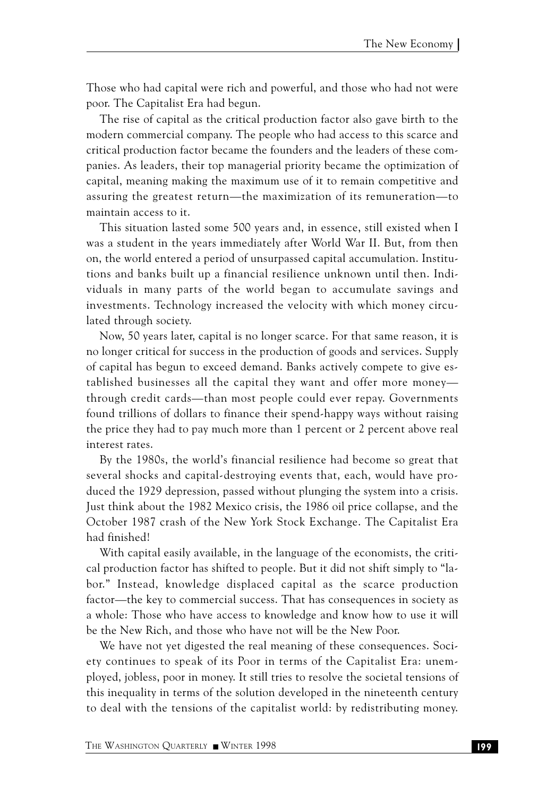Those who had capital were rich and powerful, and those who had not were poor. The Capitalist Era had begun.

The rise of capital as the critical production factor also gave birth to the modern commercial company. The people who had access to this scarce and critical production factor became the founders and the leaders of these companies. As leaders, their top managerial priority became the optimization of capital, meaning making the maximum use of it to remain competitive and assuring the greatest return—the maximization of its remuneration—to maintain access to it.

This situation lasted some 500 years and, in essence, still existed when I was a student in the years immediately after World War II. But, from then on, the world entered a period of unsurpassed capital accumulation. Institutions and banks built up a financial resilience unknown until then. Individuals in many parts of the world began to accumulate savings and investments. Technology increased the velocity with which money circulated through society.

Now, 50 years later, capital is no longer scarce. For that same reason, it is no longer critical for success in the production of goods and services. Supply of capital has begun to exceed demand. Banks actively compete to give established businesses all the capital they want and offer more money through credit cards—than most people could ever repay. Governments found trillions of dollars to finance their spend-happy ways without raising the price they had to pay much more than 1 percent or 2 percent above real interest rates.

By the 1980s, the world's financial resilience had become so great that several shocks and capital-destroying events that, each, would have produced the 1929 depression, passed without plunging the system into a crisis. Just think about the 1982 Mexico crisis, the 1986 oil price collapse, and the October 1987 crash of the New York Stock Exchange. The Capitalist Era had finished!

With capital easily available, in the language of the economists, the critical production factor has shifted to people. But it did not shift simply to "labor." Instead, knowledge displaced capital as the scarce production factor—the key to commercial success. That has consequences in society as a whole: Those who have access to knowledge and know how to use it will be the New Rich, and those who have not will be the New Poor.

We have not yet digested the real meaning of these consequences. Society continues to speak of its Poor in terms of the Capitalist Era: unemployed, jobless, poor in money. It still tries to resolve the societal tensions of this inequality in terms of the solution developed in the nineteenth century to deal with the tensions of the capitalist world: by redistributing money.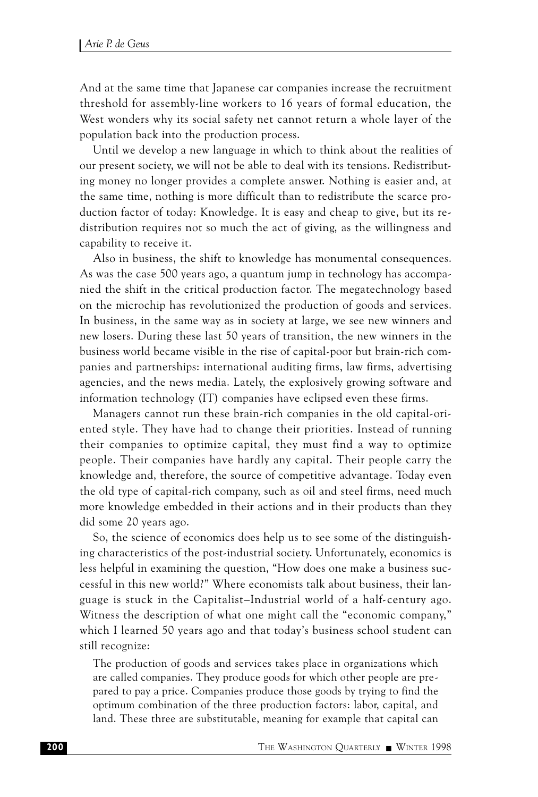And at the same time that Japanese car companies increase the recruitment threshold for assembly-line workers to 16 years of formal education, the West wonders why its social safety net cannot return a whole layer of the population back into the production process.

Until we develop a new language in which to think about the realities of our present society, we will not be able to deal with its tensions. Redistributing money no longer provides a complete answer. Nothing is easier and, at the same time, nothing is more difficult than to redistribute the scarce production factor of today: Knowledge. It is easy and cheap to give, but its redistribution requires not so much the act of giving, as the willingness and capability to receive it.

Also in business, the shift to knowledge has monumental consequences. As was the case 500 years ago, a quantum jump in technology has accompanied the shift in the critical production factor. The megatechnology based on the microchip has revolutionized the production of goods and services. In business, in the same way as in society at large, we see new winners and new losers. During these last 50 years of transition, the new winners in the business world became visible in the rise of capital-poor but brain-rich companies and partnerships: international auditing firms, law firms, advertising agencies, and the news media. Lately, the explosively growing software and information technology (IT) companies have eclipsed even these firms.

Managers cannot run these brain-rich companies in the old capital-oriented style. They have had to change their priorities. Instead of running their companies to optimize capital, they must find a way to optimize people. Their companies have hardly any capital. Their people carry the knowledge and, therefore, the source of competitive advantage. Today even the old type of capital-rich company, such as oil and steel firms, need much more knowledge embedded in their actions and in their products than they did some 20 years ago.

So, the science of economics does help us to see some of the distinguishing characteristics of the post-industrial society. Unfortunately, economics is less helpful in examining the question, "How does one make a business successful in this new world?" Where economists talk about business, their language is stuck in the Capitalist–Industrial world of a half-century ago. Witness the description of what one might call the "economic company," which I learned 50 years ago and that today's business school student can still recognize:

The production of goods and services takes place in organizations which are called companies. They produce goods for which other people are prepared to pay a price. Companies produce those goods by trying to find the optimum combination of the three production factors: labor, capital, and land. These three are substitutable, meaning for example that capital can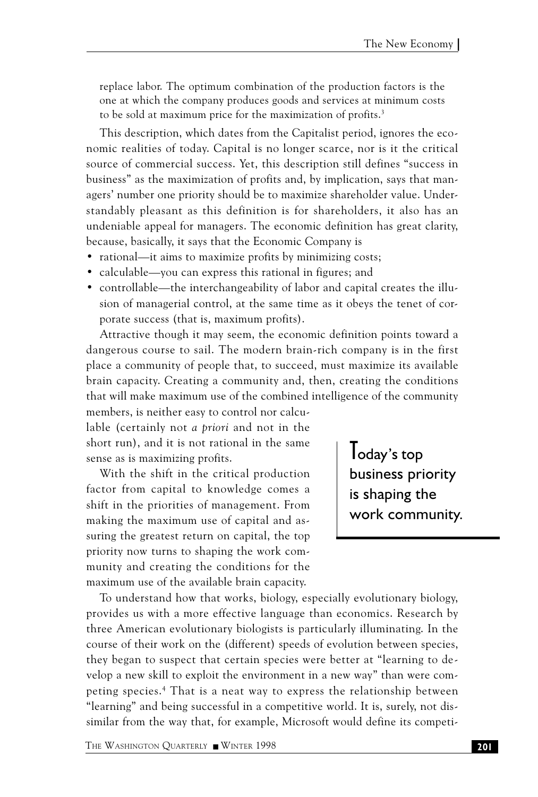replace labor. The optimum combination of the production factors is the one at which the company produces goods and services at minimum costs to be sold at maximum price for the maximization of profits.<sup>3</sup>

This description, which dates from the Capitalist period, ignores the economic realities of today. Capital is no longer scarce, nor is it the critical source of commercial success. Yet, this description still defines "success in business" as the maximization of profits and, by implication, says that managers' number one priority should be to maximize shareholder value. Understandably pleasant as this definition is for shareholders, it also has an undeniable appeal for managers. The economic definition has great clarity, because, basically, it says that the Economic Company is

- rational—it aims to maximize profits by minimizing costs;
- calculable—you can express this rational in figures; and
- controllable—the interchangeability of labor and capital creates the illusion of managerial control, at the same time as it obeys the tenet of corporate success (that is, maximum profits).

Attractive though it may seem, the economic definition points toward a dangerous course to sail. The modern brain-rich company is in the first place a community of people that, to succeed, must maximize its available brain capacity. Creating a community and, then, creating the conditions that will make maximum use of the combined intelligence of the community

members, is neither easy to control nor calculable (certainly not *a priori* and not in the short run), and it is not rational in the same sense as is maximizing profits.

With the shift in the critical production factor from capital to knowledge comes a shift in the priorities of management. From making the maximum use of capital and assuring the greatest return on capital, the top priority now turns to shaping the work community and creating the conditions for the maximum use of the available brain capacity.

Today's top business priority is shaping the work community.

To understand how that works, biology, especially evolutionary biology, provides us with a more effective language than economics. Research by three American evolutionary biologists is particularly illuminating. In the course of their work on the (different) speeds of evolution between species, they began to suspect that certain species were better at "learning to develop a new skill to exploit the environment in a new way" than were competing species.4 That is a neat way to express the relationship between "learning" and being successful in a competitive world. It is, surely, not dissimilar from the way that, for example, Microsoft would define its competi-

THE WASHINGTON QUARTERLY WINTER 1998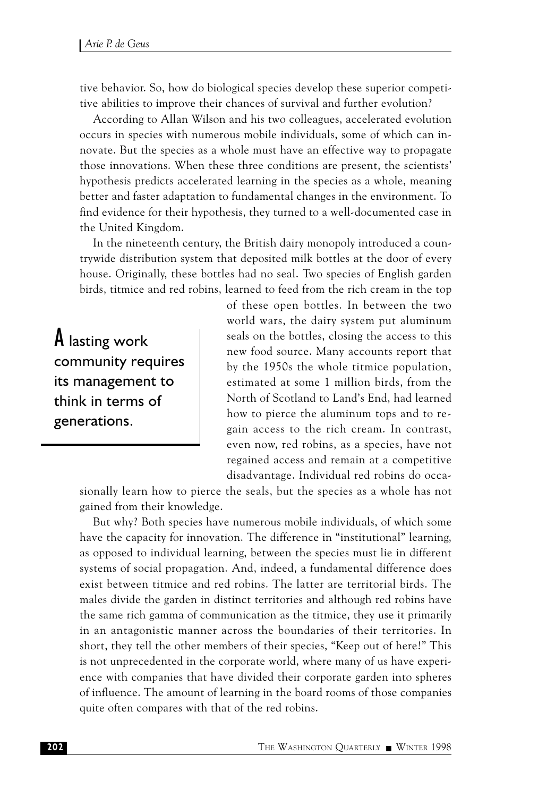tive behavior. So, how do biological species develop these superior competitive abilities to improve their chances of survival and further evolution?

According to Allan Wilson and his two colleagues, accelerated evolution occurs in species with numerous mobile individuals, some of which can innovate. But the species as a whole must have an effective way to propagate those innovations. When these three conditions are present, the scientists' hypothesis predicts accelerated learning in the species as a whole, meaning better and faster adaptation to fundamental changes in the environment. To find evidence for their hypothesis, they turned to a well-documented case in the United Kingdom.

In the nineteenth century, the British dairy monopoly introduced a countrywide distribution system that deposited milk bottles at the door of every house. Originally, these bottles had no seal. Two species of English garden birds, titmice and red robins, learned to feed from the rich cream in the top

A lasting work community requires its management to think in terms of generations.

of these open bottles. In between the two world wars, the dairy system put aluminum seals on the bottles, closing the access to this new food source. Many accounts report that by the 1950s the whole titmice population, estimated at some 1 million birds, from the North of Scotland to Land's End, had learned how to pierce the aluminum tops and to regain access to the rich cream. In contrast, even now, red robins, as a species, have not regained access and remain at a competitive disadvantage. Individual red robins do occa-

sionally learn how to pierce the seals, but the species as a whole has not gained from their knowledge.

But why? Both species have numerous mobile individuals, of which some have the capacity for innovation. The difference in "institutional" learning, as opposed to individual learning, between the species must lie in different systems of social propagation. And, indeed, a fundamental difference does exist between titmice and red robins. The latter are territorial birds. The males divide the garden in distinct territories and although red robins have the same rich gamma of communication as the titmice, they use it primarily in an antagonistic manner across the boundaries of their territories. In short, they tell the other members of their species, "Keep out of here!" This is not unprecedented in the corporate world, where many of us have experience with companies that have divided their corporate garden into spheres of influence. The amount of learning in the board rooms of those companies quite often compares with that of the red robins.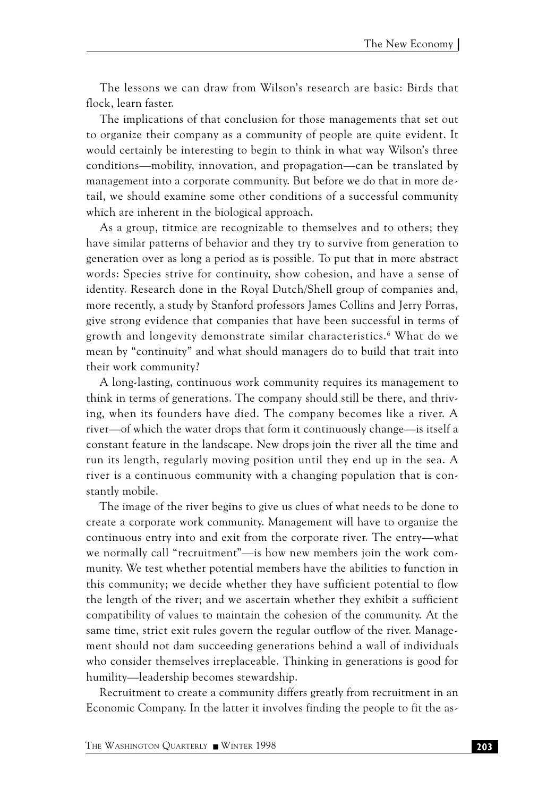The lessons we can draw from Wilson's research are basic: Birds that flock, learn faster.

The implications of that conclusion for those managements that set out to organize their company as a community of people are quite evident. It would certainly be interesting to begin to think in what way Wilson's three conditions—mobility, innovation, and propagation—can be translated by management into a corporate community. But before we do that in more detail, we should examine some other conditions of a successful community which are inherent in the biological approach.

As a group, titmice are recognizable to themselves and to others; they have similar patterns of behavior and they try to survive from generation to generation over as long a period as is possible. To put that in more abstract words: Species strive for continuity, show cohesion, and have a sense of identity. Research done in the Royal Dutch/Shell group of companies and, more recently, a study by Stanford professors James Collins and Jerry Porras, give strong evidence that companies that have been successful in terms of growth and longevity demonstrate similar characteristics.6 What do we mean by "continuity" and what should managers do to build that trait into their work community?

A long-lasting, continuous work community requires its management to think in terms of generations. The company should still be there, and thriving, when its founders have died. The company becomes like a river. A river—of which the water drops that form it continuously change—is itself a constant feature in the landscape. New drops join the river all the time and run its length, regularly moving position until they end up in the sea. A river is a continuous community with a changing population that is constantly mobile.

The image of the river begins to give us clues of what needs to be done to create a corporate work community. Management will have to organize the continuous entry into and exit from the corporate river. The entry—what we normally call "recruitment"—is how new members join the work community. We test whether potential members have the abilities to function in this community; we decide whether they have sufficient potential to flow the length of the river; and we ascertain whether they exhibit a sufficient compatibility of values to maintain the cohesion of the community. At the same time, strict exit rules govern the regular outflow of the river. Management should not dam succeeding generations behind a wall of individuals who consider themselves irreplaceable. Thinking in generations is good for humility—leadership becomes stewardship.

Recruitment to create a community differs greatly from recruitment in an Economic Company. In the latter it involves finding the people to fit the as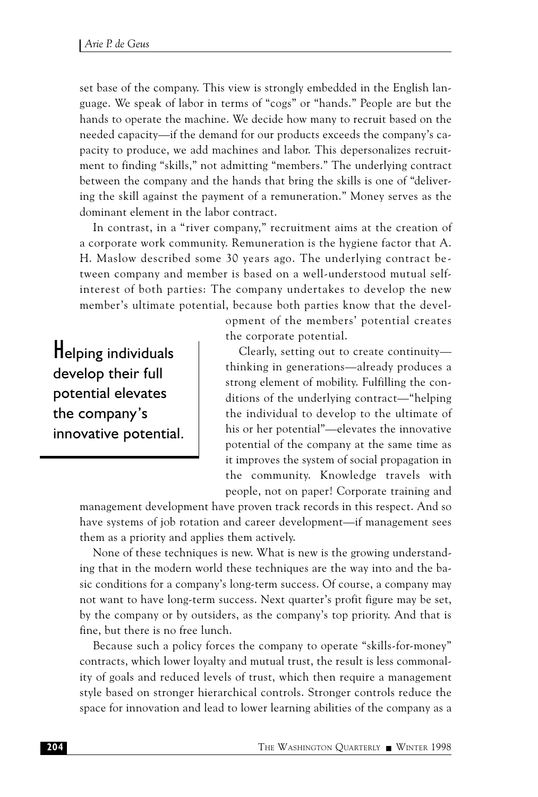set base of the company. This view is strongly embedded in the English language. We speak of labor in terms of "cogs" or "hands." People are but the hands to operate the machine. We decide how many to recruit based on the needed capacity—if the demand for our products exceeds the company's capacity to produce, we add machines and labor. This depersonalizes recruitment to finding "skills," not admitting "members." The underlying contract between the company and the hands that bring the skills is one of "delivering the skill against the payment of a remuneration." Money serves as the dominant element in the labor contract.

In contrast, in a "river company," recruitment aims at the creation of a corporate work community. Remuneration is the hygiene factor that A. H. Maslow described some 30 years ago. The underlying contract between company and member is based on a well-understood mutual selfinterest of both parties: The company undertakes to develop the new member's ultimate potential, because both parties know that the devel-

Helping individuals develop their full potential elevates the company's innovative potential. the corporate potential.

Clearly, setting out to create continuity thinking in generations—already produces a strong element of mobility. Fulfilling the conditions of the underlying contract—"helping the individual to develop to the ultimate of his or her potential"—elevates the innovative potential of the company at the same time as it improves the system of social propagation in the community. Knowledge travels with people, not on paper! Corporate training and

opment of the members' potential creates

management development have proven track records in this respect. And so have systems of job rotation and career development—if management sees them as a priority and applies them actively.

None of these techniques is new. What is new is the growing understanding that in the modern world these techniques are the way into and the basic conditions for a company's long-term success. Of course, a company may not want to have long-term success. Next quarter's profit figure may be set, by the company or by outsiders, as the company's top priority. And that is fine, but there is no free lunch.

Because such a policy forces the company to operate "skills-for-money" contracts, which lower loyalty and mutual trust, the result is less commonality of goals and reduced levels of trust, which then require a management style based on stronger hierarchical controls. Stronger controls reduce the space for innovation and lead to lower learning abilities of the company as a